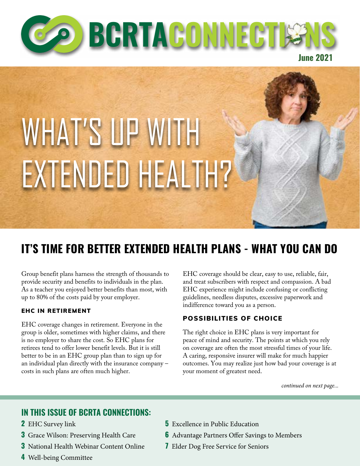

# WHAT'S UP WITH EXTENDED HEALTH?

## **IT'S TIME FOR BETTER EXTENDED HEALTH PLANS - WHAT YOU CAN DO**

Group benefit plans harness the strength of thousands to provide security and benefits to individuals in the plan. As a teacher you enjoyed better benefits than most, with up to 80% of the costs paid by your employer.

#### EHC IN RETIREMENT

EHC coverage changes in retirement. Everyone in the group is older, sometimes with higher claims, and there is no employer to share the cost. So EHC plans for retirees tend to offer lower benefit levels. But it is still better to be in an EHC group plan than to sign up for an individual plan directly with the insurance company – costs in such plans are often much higher.

EHC coverage should be clear, easy to use, reliable, fair, and treat subscribers with respect and compassion. A bad EHC experience might include confusing or conflicting guidelines, needless disputes, excessive paperwork and indifference toward you as a person.

#### POSSIBILITIES OF CHOICE

The right choice in EHC plans is very important for peace of mind and security. The points at which you rely on coverage are often the most stressful times of your life. A caring, responsive insurer will make for much happier outcomes. You may realize just how bad your coverage is at your moment of greatest need.

*continued on next page...*

#### **IN THIS ISSUE OF BCRTA CONNECTIONS:**

- **2** EHC Survey link
- **3** Grace Wilson: Preserving Health Care
- **3** National Health Webinar Content Online
- **4** Well-being Committee
- **5** Excellence in Public Education
- **6** Advantage Partners Offer Savings to Members
- **7** Elder Dog Free Service for Seniors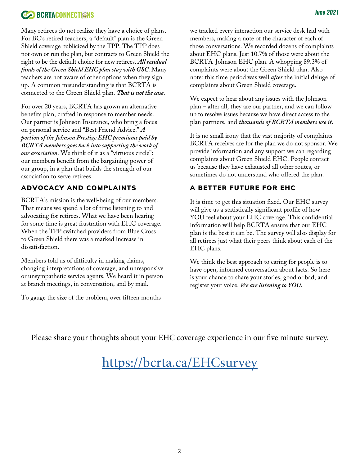#### **CONSECTIONS** *June 2021*

Many retirees do not realize they have a choice of plans. For BC's retired teachers, a "default" plan is the Green Shield coverage publicized by the TPP. The TPP does not own or run the plan, but contracts to Green Shield the right to be the default choice for new retirees. *All residual funds of the Green Shield EHC plan stay with GSC.* Many teachers are not aware of other options when they sign up. A common misunderstanding is that BCRTA is connected to the Green Shield plan. *That is not the case*.

For over 20 years, BCRTA has grown an alternative benefits plan, crafted in response to member needs. Our partner is Johnson Insurance, who bring a focus on personal service and "Best Friend Advice." *A portion of the Johnson Prestige EHC premiums paid by BCRTA members goes back into supporting the work of our association.* We think of it as a "virtuous circle": our members benefit from the bargaining power of our group, in a plan that builds the strength of our association to serve retirees.

#### ADVOCACY AND COMPLAINTS

BCRTA's mission is the well-being of our members. That means we spend a lot of time listening to and advocating for retirees. What we have been hearing for some time is great frustration with EHC coverage. When the TPP switched providers from Blue Cross to Green Shield there was a marked increase in dissatisfaction.

Members told us of difficulty in making claims, changing interpretations of coverage, and unresponsive or unsympathetic service agents. We heard it in person at branch meetings, in conversation, and by mail.

To gauge the size of the problem, over fifteen months

we tracked every interaction our service desk had with members, making a note of the character of each of those conversations. We recorded dozens of complaints about EHC plans. Just 10.7% of those were about the BCRTA-Johnson EHC plan. A whopping 89.3% of complaints were about the Green Shield plan. Also note: this time period was well *after* the initial deluge of complaints about Green Shield coverage.

We expect to hear about any issues with the Johnson plan – after all, they are our partner, and we can follow up to resolve issues because we have direct access to the plan partners, and *thousands of BCRTA members use it.*

It is no small irony that the vast majority of complaints BCRTA receives are for the plan we do not sponsor. We provide information and any support we can regarding complaints about Green Shield EHC. People contact us because they have exhausted all other routes, or sometimes do not understand who offered the plan.

#### A BETTER FUTURE FOR EHC

It is time to get this situation fixed. Our EHC survey will give us a statistically significant profile of how YOU feel about your EHC coverage. This confidential information will help BCRTA ensure that our EHC plan is the best it can be. The survey will also display for all retirees just what their peers think about each of the EHC plans.

We think the best approach to caring for people is to have open, informed conversation about facts. So here is your chance to share your stories, good or bad, and register your voice. *We are listening to YOU.* 

Please share your thoughts about your EHC coverage experience in our five minute survey.

## <https://bcrta.ca/EHCsurvey>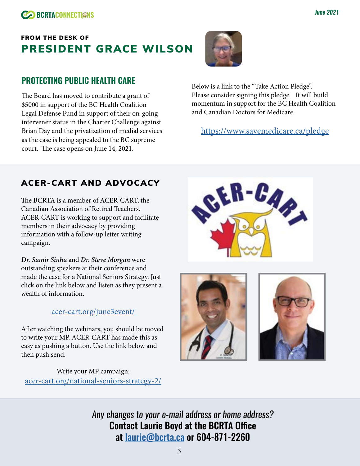## FROM THE DESK OF PRESIDENT GRACE WILSON

#### **PROTECTING PUBLIC HEALTH CARE**

The Board has moved to contribute a grant of \$5000 in support of the BC Health Coalition Legal Defense Fund in support of their on-going intervener status in the Charter Challenge against Brian Day and the privatization of medial services as the case is being appealed to the BC supreme court. The case opens on June 14, 2021.



Below is a link to the "Take Action Pledge". Please consider signing this pledge. It will build momentum in support for the BC Health Coalition and Canadian Doctors for Medicare.

<https://www.savemedicare.ca/pledge>

#### ACER-CART AND ADVOCACY

The BCRTA is a member of ACER-CART, the Canadian Association of Retired Teachers. ACER-CART is working to support and facilitate members in their advocacy by providing information with a follow-up letter writing campaign.

*Dr. Samir Sinha* and *Dr. Steve Morgan* were outstanding speakers at their conference and made the case for a National Seniors Strategy. Just click on the link below and listen as they present a wealth of information.

#### [acer-cart.org/june3event/](https://acer-cart.org/june3event/ )

After watching the webinars, you should be moved to write your MP. ACER-CART has made this as easy as pushing a button. Use the link below and then push send.

Write your MP campaign: [acer-cart.org/national-seniors-strategy-2/](https://acer-cart.org/national-seniors-strategy-2/ )







*Any changes to your e-mail address or home address?* Contact Laurie Boyd at the BCRTA Office at [laurie@bcrta.ca](mailto:laurie%40bcrta.ca?subject=BCRTA%20Member%20Info%20Update) or 604-871-2260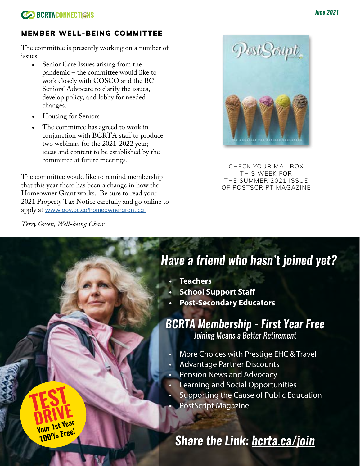

#### MEMBER WELL-BEING COMMITTEE

The committee is presently working on a number of issues:

- Senior Care Issues arising from the pandemic – the committee would like to work closely with COSCO and the BC Seniors' Advocate to clarify the issues, develop policy, and lobby for needed changes.
- Housing for Seniors
- The committee has agreed to work in conjunction with BCRTA staff to produce two webinars for the 2021-2022 year; ideas and content to be established by the committee at future meetings.

The committee would like to remind membership that this year there has been a change in how the Homeowner Grant works. Be sure to read your 2021 Property Tax Notice carefully and go online to apply at [www.gov.bc.ca/homeownergrant.ca](http://www.gov.bc.ca/homeownergrant.ca ) 

*Terry Green, Well-being Chair*

**TEST**

**DRIVE** 

**Your 1st Year 100% Free!**



CHECK YOUR MAILBOX THIS WEEK FOR THE SUMMER 2021 ISSUE OF POSTSCRIPT MAGAZINE

## *Have a friend who hasn't joined yet?*

- **• Teachers**
- **• School Support Staff**
- **• Post-Secondary Educators**

## *BCRTA Membership - First Year Free Joining Means a Better Retirement*

- More Choices with Prestige EHC & Travel
- Advantage Partner Discounts
- Pension News and Advocacy
- Learning and Social Opportunities
- Supporting the Cause of Public Education
- PostScript Magazine

## *Share the Link: b[crta.ca/](http://bcrta.ca/join)join*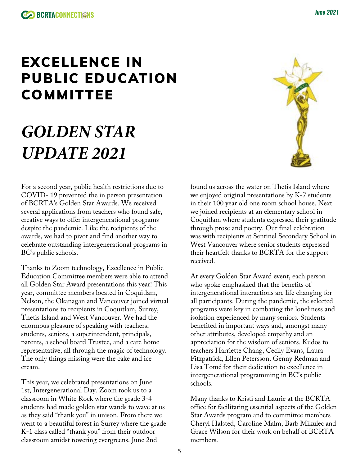## EXCELLENCE IN PUBLIC EDUCATION COMMITTEE

# *GOLDEN STAR UPDATE 2021*

For a second year, public health restrictions due to COVID- 19 prevented the in person presentation of BCRTA's Golden Star Awards. We received several applications from teachers who found safe, creative ways to offer intergenerational programs despite the pandemic. Like the recipients of the awards, we had to pivot and find another way to celebrate outstanding intergenerational programs in BC's public schools.

Thanks to Zoom technology, Excellence in Public Education Committee members were able to attend all Golden Star Award presentations this year! This year, committee members located in Coquitlam, Nelson, the Okanagan and Vancouver joined virtual presentations to recipients in Coquitlam, Surrey, Thetis Island and West Vancouver. We had the enormous pleasure of speaking with teachers, students, seniors, a superintendent, principals, parents, a school board Trustee, and a care home representative, all through the magic of technology. The only things missing were the cake and ice cream.

This year, we celebrated presentations on June 1st, Intergenerational Day. Zoom took us to a classroom in White Rock where the grade 3-4 students had made golden star wands to wave at us as they said "thank you" in unison. From there we went to a beautiful forest in Surrey where the grade K-1 class called "thank you" from their outdoor classroom amidst towering evergreens. June 2nd

found us across the water on Thetis Island where we enjoyed original presentations by K-7 students in their 100 year old one room school house. Next we joined recipients at an elementary school in Coquitlam where students expressed their gratitude through prose and poetry. Our final celebration was with recipients at Sentinel Secondary School in West Vancouver where senior students expressed their heartfelt thanks to BCRTA for the support received.

At every Golden Star Award event, each person who spoke emphasized that the benefits of intergenerational interactions are life changing for all participants. During the pandemic, the selected programs were key in combating the loneliness and isolation experienced by many seniors. Students benefited in important ways and, amongst many other attributes, developed empathy and an appreciation for the wisdom of seniors. Kudos to teachers Harriette Chang, Cecily Evans, Laura Fitzpatrick, Ellen Petersson, Genny Redman and Lisa Tomé for their dedication to excellence in intergenerational programming in BC's public schools.

Many thanks to Kristi and Laurie at the BCRTA office for facilitating essential aspects of the Golden Star Awards program and to committee members Cheryl Halsted, Caroline Malm, Barb Mikulec and Grace Wilson for their work on behalf of BCRTA members.

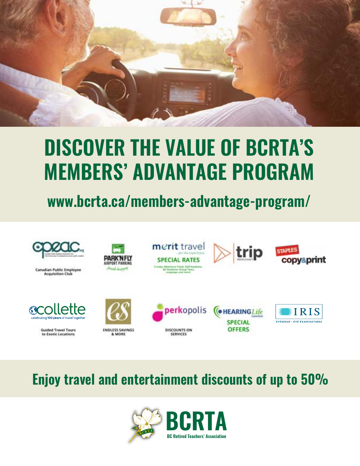

# **DISCOVER THE VALUE OF BCRTA'S MEMBERS' ADVANTAGE PROGRAM**

## **www.bcrta.ca/members-advantage-program/**



## **Enjoy travel and entertainment discounts of up to 50%**